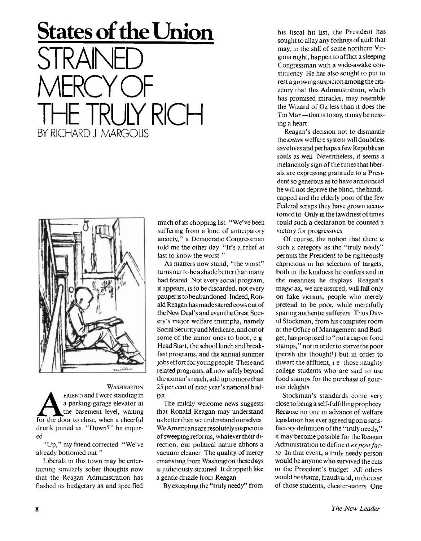## **States of the Union**  SIRA MERCY OF TRULY RICH BY RICHARD J MARGOLIS



WASHINGTON WASHINGTON<br>
a parking-garage elevator at<br>
the basement level, waiting<br>
for the door to close, when a cheerful **FRIEND** and I were standing in a parking-garage elevator at the basement level, waiting drunk joined us "Down<sup>7</sup> " he inquired

"Up," my friend corrected "We've already bottomed out "

Liberals in this town may be entertaining similarly sober thoughts now that the Reagan Administration has flashed its budgetary ax and specified

much of its chopping list "We've been suffering from a kind of anticipatory anxiety," a Democratic Congressman told me the other day "It's a relief at last to know the worst "

As matters now stand, "the worst" turns out to be a shade better than many had feared Not every social program, it appears, is to be discarded, not every pauper is to be abandoned Indeed, Ronald Reagan has made sacred cows out of the New Deal's and even the Great Society's major welfare triumphs, namely Social Security and Medicare, and out of some of the minor ones to boot, e g Head Start, the school lunch and breakfast programs, and the annual summer jobs effort for young people These and related programs, all now safely beyond the axman's reach, add up to more than 25 per cent of next year's national budget

The mildly welcome news suggests that Ronald Reagan may understand us better than we understand ourselves We Americans are resolutely suspicious of sweeping reforms, whatever their direction, our political nature abhors a vacuum cleaner The quality of mercy emanating from Washington these days is judiciously strained It droppeth like a gentle drizzle from Reagan

By excepting the "truly needy" from

his fiscal hit list, the President has sought to allay any feelings of guilt that may, m the still of some northern Virginia night, happen to afflict a sleeping Congressman with a wide-awake constituency He has also sought to put to rest a growing suspicion among the citizenry that this Administration, which has promised miracles, may resemble the Wizard of Oz less than it does the Tin Man—that is to say, it may be missing a heart

Reagan's decision not to dismantle the *entire* welfare system will doubtless save lives and perhaps a few Republican souls as well Nevertheless, it seems a melancholy sign of the times that liberals are expressing gratitude to a President so generous as to have announced he will not deprive the blind, the handicapped and the elderly poor of the few Federal scraps they have grown accustomed to Only in the tawdriest of times could such a declaration be counted a victory for progressives

Of course, the notion that there is such a category as the "truly needy" permits the President to be righteously capricious in his selection of targets, both in the kindness he confers and in the meanness he displays Reagan's magic ax, we are assured, will fall only on fake victims, people who merely pretend to be poor, while mercifully sparing authentic sufferers Thus David Stockman, from his computer room at the Of fice of Management and Budget, has proposed to "put a cap on food stamps," not in order to starve the poor (perish the thought') but in order to thwart the affluent, i e those naughty college students who are said to use food stamps for the purchase of gourmet delights

Stockman's standards come very close to being a self-fulfilling prophecy Because no one in advance of welfare legislation has ever agreed upon a satisfactory definition of the "truly needy," it may become possible for the Reagan Administration to define it *ex post facto* In that event, a truly needy person would be anyone who survived the cuts in the President's budget All others would be shams, frauds and, in the case of those students, cheater-eaters One